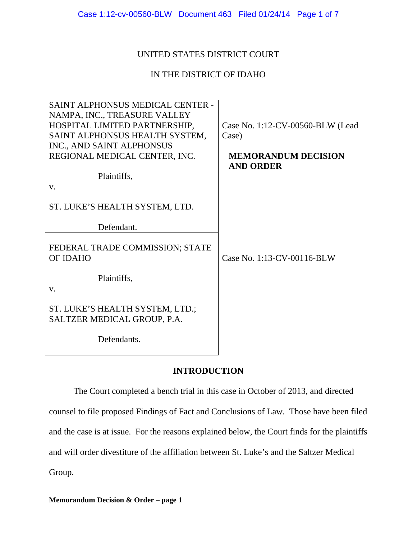# UNITED STATES DISTRICT COURT

# IN THE DISTRICT OF IDAHO

| SAINT ALPHONSUS MEDICAL CENTER -<br>NAMPA, INC., TREASURE VALLEY<br>HOSPITAL LIMITED PARTNERSHIP,<br>SAINT ALPHONSUS HEALTH SYSTEM,<br>INC., AND SAINT ALPHONSUS<br>REGIONAL MEDICAL CENTER, INC. | Case No. 1:12-CV-00560-BLW (Lead<br>Case)<br><b>MEMORANDUM DECISION</b><br><b>AND ORDER</b> |
|---------------------------------------------------------------------------------------------------------------------------------------------------------------------------------------------------|---------------------------------------------------------------------------------------------|
| Plaintiffs,                                                                                                                                                                                       |                                                                                             |
| V.                                                                                                                                                                                                |                                                                                             |
| ST. LUKE'S HEALTH SYSTEM, LTD.                                                                                                                                                                    |                                                                                             |
| Defendant.                                                                                                                                                                                        |                                                                                             |
| FEDERAL TRADE COMMISSION; STATE<br>OF IDAHO                                                                                                                                                       | Case No. 1:13-CV-00116-BLW                                                                  |
| Plaintiffs,<br>V.                                                                                                                                                                                 |                                                                                             |
| ST. LUKE'S HEALTH SYSTEM, LTD.;<br>SALTZER MEDICAL GROUP, P.A.                                                                                                                                    |                                                                                             |
| Defendants.                                                                                                                                                                                       |                                                                                             |

# **INTRODUCTION**

The Court completed a bench trial in this case in October of 2013, and directed counsel to file proposed Findings of Fact and Conclusions of Law. Those have been filed and the case is at issue. For the reasons explained below, the Court finds for the plaintiffs and will order divestiture of the affiliation between St. Luke's and the Saltzer Medical Group.

**Memorandum Decision & Order – page 1**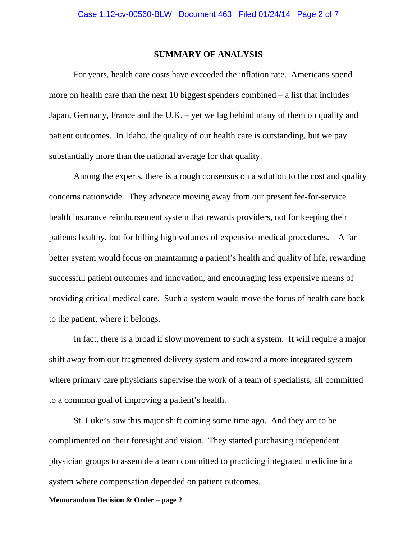### **SUMMARY OF ANALYSIS**

 For years, health care costs have exceeded the inflation rate. Americans spend more on health care than the next 10 biggest spenders combined – a list that includes Japan, Germany, France and the U.K. – yet we lag behind many of them on quality and patient outcomes. In Idaho, the quality of our health care is outstanding, but we pay substantially more than the national average for that quality.

 Among the experts, there is a rough consensus on a solution to the cost and quality concerns nationwide. They advocate moving away from our present fee-for-service health insurance reimbursement system that rewards providers, not for keeping their patients healthy, but for billing high volumes of expensive medical procedures. A far better system would focus on maintaining a patient's health and quality of life, rewarding successful patient outcomes and innovation, and encouraging less expensive means of providing critical medical care. Such a system would move the focus of health care back to the patient, where it belongs.

 In fact, there is a broad if slow movement to such a system. It will require a major shift away from our fragmented delivery system and toward a more integrated system where primary care physicians supervise the work of a team of specialists, all committed to a common goal of improving a patient's health.

 St. Luke's saw this major shift coming some time ago. And they are to be complimented on their foresight and vision. They started purchasing independent physician groups to assemble a team committed to practicing integrated medicine in a system where compensation depended on patient outcomes.

#### **Memorandum Decision & Order – page 2**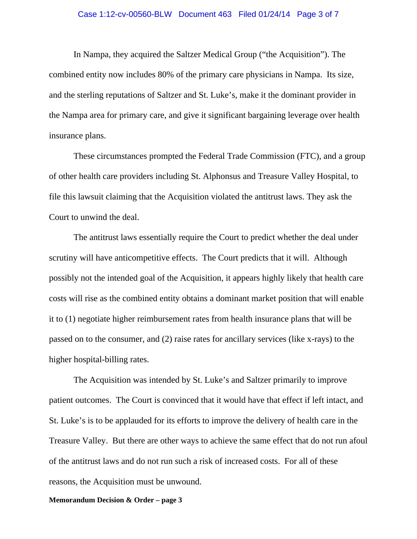### Case 1:12-cv-00560-BLW Document 463 Filed 01/24/14 Page 3 of 7

 In Nampa, they acquired the Saltzer Medical Group ("the Acquisition"). The combined entity now includes 80% of the primary care physicians in Nampa. Its size, and the sterling reputations of Saltzer and St. Luke's, make it the dominant provider in the Nampa area for primary care, and give it significant bargaining leverage over health insurance plans.

 These circumstances prompted the Federal Trade Commission (FTC), and a group of other health care providers including St. Alphonsus and Treasure Valley Hospital, to file this lawsuit claiming that the Acquisition violated the antitrust laws. They ask the Court to unwind the deal.

 The antitrust laws essentially require the Court to predict whether the deal under scrutiny will have anticompetitive effects. The Court predicts that it will. Although possibly not the intended goal of the Acquisition, it appears highly likely that health care costs will rise as the combined entity obtains a dominant market position that will enable it to (1) negotiate higher reimbursement rates from health insurance plans that will be passed on to the consumer, and (2) raise rates for ancillary services (like x-rays) to the higher hospital-billing rates.

 The Acquisition was intended by St. Luke's and Saltzer primarily to improve patient outcomes. The Court is convinced that it would have that effect if left intact, and St. Luke's is to be applauded for its efforts to improve the delivery of health care in the Treasure Valley. But there are other ways to achieve the same effect that do not run afoul of the antitrust laws and do not run such a risk of increased costs. For all of these reasons, the Acquisition must be unwound.

#### **Memorandum Decision & Order – page 3**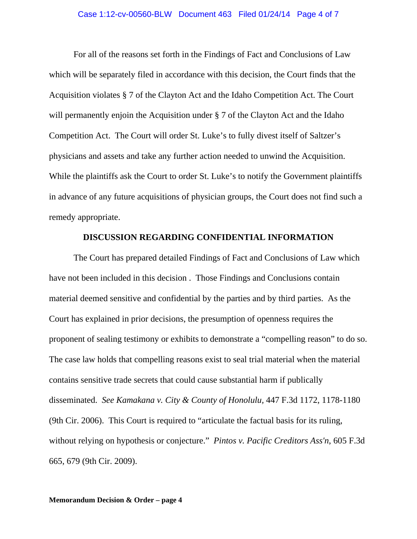### Case 1:12-cv-00560-BLW Document 463 Filed 01/24/14 Page 4 of 7

For all of the reasons set forth in the Findings of Fact and Conclusions of Law which will be separately filed in accordance with this decision, the Court finds that the Acquisition violates § 7 of the Clayton Act and the Idaho Competition Act. The Court will permanently enjoin the Acquisition under § 7 of the Clayton Act and the Idaho Competition Act. The Court will order St. Luke's to fully divest itself of Saltzer's physicians and assets and take any further action needed to unwind the Acquisition. While the plaintiffs ask the Court to order St. Luke's to notify the Government plaintiffs in advance of any future acquisitions of physician groups, the Court does not find such a remedy appropriate.

## **DISCUSSION REGARDING CONFIDENTIAL INFORMATION**

The Court has prepared detailed Findings of Fact and Conclusions of Law which have not been included in this decision . Those Findings and Conclusions contain material deemed sensitive and confidential by the parties and by third parties. As the Court has explained in prior decisions, the presumption of openness requires the proponent of sealing testimony or exhibits to demonstrate a "compelling reason" to do so. The case law holds that compelling reasons exist to seal trial material when the material contains sensitive trade secrets that could cause substantial harm if publically disseminated. *See Kamakana v. City & County of Honolulu,* 447 F.3d 1172, 1178-1180 (9th Cir. 2006). This Court is required to "articulate the factual basis for its ruling, without relying on hypothesis or conjecture." *Pintos v. Pacific Creditors Ass'n*, 605 F.3d 665, 679 (9th Cir. 2009).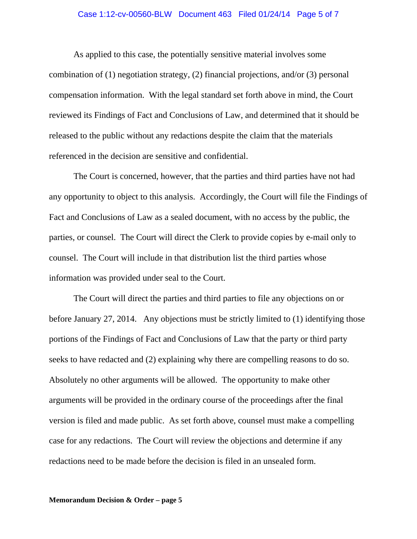### Case 1:12-cv-00560-BLW Document 463 Filed 01/24/14 Page 5 of 7

As applied to this case, the potentially sensitive material involves some combination of (1) negotiation strategy, (2) financial projections, and/or (3) personal compensation information. With the legal standard set forth above in mind, the Court reviewed its Findings of Fact and Conclusions of Law, and determined that it should be released to the public without any redactions despite the claim that the materials referenced in the decision are sensitive and confidential.

The Court is concerned, however, that the parties and third parties have not had any opportunity to object to this analysis. Accordingly, the Court will file the Findings of Fact and Conclusions of Law as a sealed document, with no access by the public, the parties, or counsel. The Court will direct the Clerk to provide copies by e-mail only to counsel. The Court will include in that distribution list the third parties whose information was provided under seal to the Court.

The Court will direct the parties and third parties to file any objections on or before January 27, 2014. Any objections must be strictly limited to (1) identifying those portions of the Findings of Fact and Conclusions of Law that the party or third party seeks to have redacted and (2) explaining why there are compelling reasons to do so. Absolutely no other arguments will be allowed. The opportunity to make other arguments will be provided in the ordinary course of the proceedings after the final version is filed and made public. As set forth above, counsel must make a compelling case for any redactions. The Court will review the objections and determine if any redactions need to be made before the decision is filed in an unsealed form.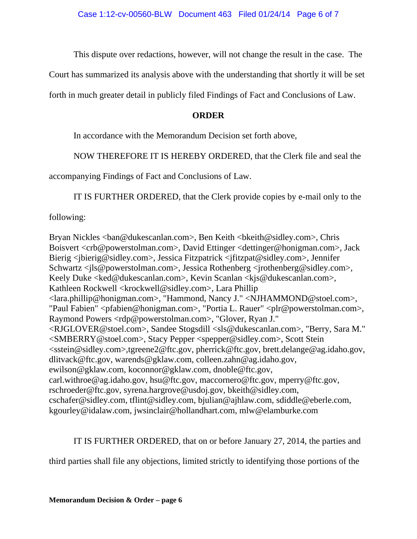This dispute over redactions, however, will not change the result in the case. The

Court has summarized its analysis above with the understanding that shortly it will be set

forth in much greater detail in publicly filed Findings of Fact and Conclusions of Law.

## **ORDER**

In accordance with the Memorandum Decision set forth above,

NOW THEREFORE IT IS HEREBY ORDERED, that the Clerk file and seal the

accompanying Findings of Fact and Conclusions of Law.

IT IS FURTHER ORDERED, that the Clerk provide copies by e-mail only to the

following:

Bryan Nickles <br/>ban@dukescanlan.com>, Ben Keith <br/> <br/> <br/> <br/> <br/>Subsettley.com>, Chris Boisvert <crb@powerstolman.com>, David Ettinger <dettinger@honigman.com>, Jack Bierig <jbierig@sidley.com>, Jessica Fitzpatrick <jfitzpat@sidley.com>, Jennifer Schwartz <jls@powerstolman.com>, Jessica Rothenberg <jrothenberg@sidley.com>, Keely Duke <ked@dukescanlan.com>, Kevin Scanlan <kjs@dukescanlan.com>, Kathleen Rockwell <krockwell@sidley.com>, Lara Phillip <lara.phillip@honigman.com>, "Hammond, Nancy J." <NJHAMMOND@stoel.com>, "Paul Fabien" <pfabien@honigman.com>, "Portia L. Rauer" <plr@powerstolman.com>, Raymond Powers <rdp@powerstolman.com>, "Glover, Ryan J." <RJGLOVER@stoel.com>, Sandee Stogsdill <sls@dukescanlan.com>, "Berry, Sara M." <SMBERRY@stoel.com>, Stacy Pepper <spepper@sidley.com>, Scott Stein <sstein@sidley.com>,tgreene2@ftc.gov, pherrick@ftc.gov, brett.delange@ag.idaho.gov, dlitvack@ftc.gov, warends@gklaw.com, colleen.zahn@ag.idaho.gov, ewilson@gklaw.com, koconnor@gklaw.com, dnoble@ftc.gov, carl.withroe@ag.idaho.gov, hsu@ftc.gov, maccornero@ftc.gov, mperry@ftc.gov, rschroeder@ftc.gov, syrena.hargrove@usdoj.gov, bkeith@sidley.com, cschafer@sidley.com, tflint@sidley.com, bjulian@ajhlaw.com, sdiddle@eberle.com, kgourley@idalaw.com, jwsinclair@hollandhart.com, mlw@elamburke.com

IT IS FURTHER ORDERED, that on or before January 27, 2014, the parties and

third parties shall file any objections, limited strictly to identifying those portions of the